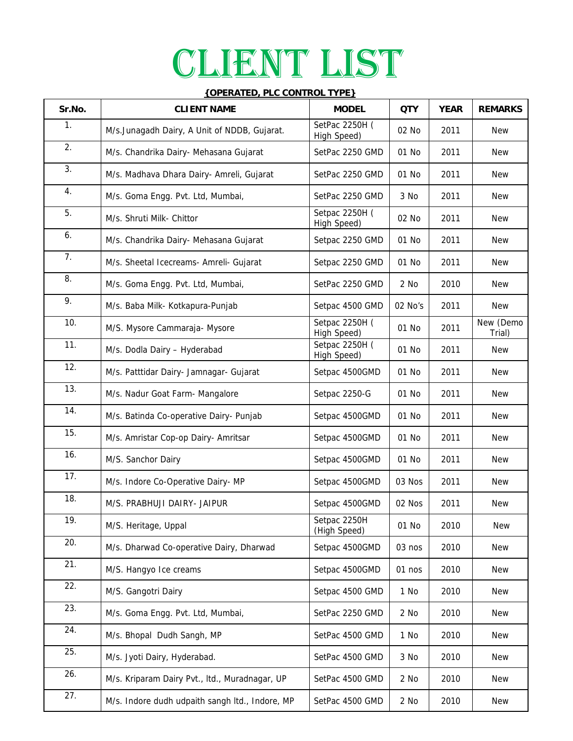## CLIENT LIST

| <b>{OPERATED, PLC CONTROL TYPE}</b> |                                                 |                               |            |             |                     |  |  |  |
|-------------------------------------|-------------------------------------------------|-------------------------------|------------|-------------|---------------------|--|--|--|
| Sr.No.                              | <b>CLIENT NAME</b>                              | <b>MODEL</b>                  | <b>QTY</b> | <b>YEAR</b> | <b>REMARKS</b>      |  |  |  |
| $\mathbf{1}$ .                      | M/s.Junagadh Dairy, A Unit of NDDB, Gujarat.    | SetPac 2250H (<br>High Speed) | 02 No      | 2011        | <b>New</b>          |  |  |  |
| 2.                                  | M/s. Chandrika Dairy- Mehasana Gujarat          | SetPac 2250 GMD               | 01 No      | 2011        | <b>New</b>          |  |  |  |
| 3.                                  | M/s. Madhava Dhara Dairy- Amreli, Gujarat       | SetPac 2250 GMD               | 01 No      | 2011        | <b>New</b>          |  |  |  |
| 4.                                  | M/s. Goma Engg. Pvt. Ltd, Mumbai,               | SetPac 2250 GMD               | 3 No       | 2011        | <b>New</b>          |  |  |  |
| 5.                                  | M/s. Shruti Milk- Chittor                       | Setpac 2250H (<br>High Speed) | 02 No      | 2011        | New                 |  |  |  |
| 6.                                  | M/s. Chandrika Dairy- Mehasana Gujarat          | Setpac 2250 GMD               | 01 No      | 2011        | <b>New</b>          |  |  |  |
| 7.                                  | M/s. Sheetal Icecreams- Amreli- Gujarat         | Setpac 2250 GMD               | 01 No      | 2011        | <b>New</b>          |  |  |  |
| 8.                                  | M/s. Goma Engg. Pvt. Ltd, Mumbai,               | SetPac 2250 GMD               | 2 No       | 2010        | New                 |  |  |  |
| 9.                                  | M/s. Baba Milk- Kotkapura-Punjab                | Setpac 4500 GMD               | 02 No's    | 2011        | <b>New</b>          |  |  |  |
| 10.                                 | M/S. Mysore Cammaraja- Mysore                   | Setpac 2250H (<br>High Speed) | 01 No      | 2011        | New (Demo<br>Trial) |  |  |  |
| 11.                                 | M/s. Dodla Dairy - Hyderabad                    | Setpac 2250H (<br>High Speed) | 01 No      | 2011        | New                 |  |  |  |
| 12.                                 | M/s. Patttidar Dairy- Jamnagar- Gujarat         | Setpac 4500GMD                | 01 No      | 2011        | <b>New</b>          |  |  |  |
| 13.                                 | M/s. Nadur Goat Farm- Mangalore                 | Setpac 2250-G                 | 01 No      | 2011        | <b>New</b>          |  |  |  |
| 14.                                 | M/s. Batinda Co-operative Dairy- Punjab         | Setpac 4500GMD                | 01 No      | 2011        | <b>New</b>          |  |  |  |
| 15.                                 | M/s. Amristar Cop-op Dairy- Amritsar            | Setpac 4500GMD                | 01 No      | 2011        | <b>New</b>          |  |  |  |
| 16.                                 | M/S. Sanchor Dairy                              | Setpac 4500GMD                | 01 No      | 2011        | <b>New</b>          |  |  |  |
| 17.                                 | M/s. Indore Co-Operative Dairy- MP              | Setpac 4500GMD                | 03 Nos     | 2011        | <b>New</b>          |  |  |  |
| 18.                                 | M/S. PRABHUJI DAIRY- JAIPUR                     | Setpac 4500GMD                | 02 Nos     | 2011        | New                 |  |  |  |
| 19.                                 | M/S. Heritage, Uppal                            | Setpac 2250H<br>(High Speed)  | 01 No      | 2010        | <b>New</b>          |  |  |  |
| 20.                                 | M/s. Dharwad Co-operative Dairy, Dharwad        | Setpac 4500GMD                | 03 nos     | 2010        | <b>New</b>          |  |  |  |
| 21.                                 | M/S. Hangyo Ice creams                          | Setpac 4500GMD                | 01 nos     | 2010        | <b>New</b>          |  |  |  |
| 22.                                 | M/S. Gangotri Dairy                             | Setpac 4500 GMD               | 1 No       | 2010        | <b>New</b>          |  |  |  |
| 23.                                 | M/s. Goma Engg. Pvt. Ltd, Mumbai,               | SetPac 2250 GMD               | 2 No       | 2010        | <b>New</b>          |  |  |  |
| 24.                                 | M/s. Bhopal Dudh Sangh, MP                      | SetPac 4500 GMD               | 1 No       | 2010        | <b>New</b>          |  |  |  |
| 25.                                 | M/s. Jyoti Dairy, Hyderabad.                    | SetPac 4500 GMD               | 3 No       | 2010        | <b>New</b>          |  |  |  |
| 26.                                 | M/s. Kriparam Dairy Pvt., Itd., Muradnagar, UP  | SetPac 4500 GMD               | 2 No       | 2010        | <b>New</b>          |  |  |  |
| 27.                                 | M/s. Indore dudh udpaith sangh Itd., Indore, MP | SetPac 4500 GMD               | 2 No       | 2010        | <b>New</b>          |  |  |  |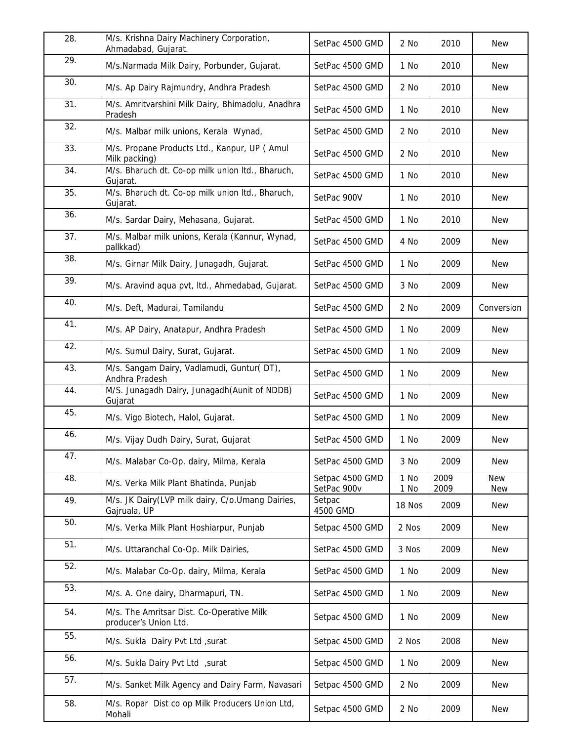| 28. | M/s. Krishna Dairy Machinery Corporation,<br>Ahmadabad, Gujarat.   | SetPac 4500 GMD                | 2 No         | 2010         | <b>New</b>               |
|-----|--------------------------------------------------------------------|--------------------------------|--------------|--------------|--------------------------|
| 29. | M/s.Narmada Milk Dairy, Porbunder, Gujarat.                        | SetPac 4500 GMD                | 1 No         | 2010         | <b>New</b>               |
| 30. | M/s. Ap Dairy Rajmundry, Andhra Pradesh                            | SetPac 4500 GMD                | 2 No         | 2010         | <b>New</b>               |
| 31. | M/s. Amritvarshini Milk Dairy, Bhimadolu, Anadhra<br>Pradesh       | SetPac 4500 GMD                | 1 No         | 2010         | <b>New</b>               |
| 32. | M/s. Malbar milk unions, Kerala Wynad,                             | SetPac 4500 GMD                | 2 No         | 2010         | <b>New</b>               |
| 33. | M/s. Propane Products Ltd., Kanpur, UP ( Amul<br>Milk packing)     | SetPac 4500 GMD                | 2 No         | 2010         | <b>New</b>               |
| 34. | M/s. Bharuch dt. Co-op milk union ltd., Bharuch,<br>Gujarat.       | SetPac 4500 GMD                | 1 No         | 2010         | <b>New</b>               |
| 35. | M/s. Bharuch dt. Co-op milk union Itd., Bharuch,<br>Gujarat.       | SetPac 900V                    | 1 No         | 2010         | <b>New</b>               |
| 36. | M/s. Sardar Dairy, Mehasana, Gujarat.                              | SetPac 4500 GMD                | 1 No         | 2010         | <b>New</b>               |
| 37. | M/s. Malbar milk unions, Kerala (Kannur, Wynad,<br>pallkkad)       | SetPac 4500 GMD                | 4 No         | 2009         | <b>New</b>               |
| 38. | M/s. Girnar Milk Dairy, Junagadh, Gujarat.                         | SetPac 4500 GMD                | 1 No         | 2009         | New                      |
| 39. | M/s. Aravind aqua pvt, Itd., Ahmedabad, Gujarat.                   | SetPac 4500 GMD                | 3 No         | 2009         | New                      |
| 40. | M/s. Deft, Madurai, Tamilandu                                      | SetPac 4500 GMD                | 2 No         | 2009         | Conversion               |
| 41. | M/s. AP Dairy, Anatapur, Andhra Pradesh                            | SetPac 4500 GMD                | 1 No         | 2009         | <b>New</b>               |
| 42. | M/s. Sumul Dairy, Surat, Gujarat.                                  | SetPac 4500 GMD                | 1 No         | 2009         | <b>New</b>               |
| 43. | M/s. Sangam Dairy, Vadlamudi, Guntur(DT),<br>Andhra Pradesh        | SetPac 4500 GMD                | 1 No         | 2009         | <b>New</b>               |
| 44. | M/S. Junagadh Dairy, Junagadh (Aunit of NDDB)<br>Gujarat           | SetPac 4500 GMD                | 1 No         | 2009         | <b>New</b>               |
| 45. | M/s. Vigo Biotech, Halol, Gujarat.                                 | SetPac 4500 GMD                | 1 No         | 2009         | <b>New</b>               |
| 46. | M/s. Vijay Dudh Dairy, Surat, Gujarat                              | SetPac 4500 GMD                | 1 No         | 2009         | <b>New</b>               |
| 47. | M/s. Malabar Co-Op. dairy, Milma, Kerala                           | SetPac 4500 GMD                | 3 No         | 2009         | <b>New</b>               |
| 48. | M/s. Verka Milk Plant Bhatinda, Punjab                             | Setpac 4500 GMD<br>SetPac 900v | 1 No<br>1 No | 2009<br>2009 | <b>New</b><br><b>New</b> |
| 49. | M/s. JK Dairy(LVP milk dairy, C/o.Umang Dairies,<br>Gajruala, UP   | Setpac<br>4500 GMD             | 18 Nos       | 2009         | <b>New</b>               |
| 50. | M/s. Verka Milk Plant Hoshiarpur, Punjab                           | Setpac 4500 GMD                | 2 Nos        | 2009         | <b>New</b>               |
| 51. | M/s. Uttaranchal Co-Op. Milk Dairies,                              | SetPac 4500 GMD                | 3 Nos        | 2009         | <b>New</b>               |
| 52. | M/s. Malabar Co-Op. dairy, Milma, Kerala                           | SetPac 4500 GMD                | 1 No         | 2009         | New                      |
| 53. | M/s. A. One dairy, Dharmapuri, TN.                                 | SetPac 4500 GMD                | 1 No         | 2009         | <b>New</b>               |
| 54. | M/s. The Amritsar Dist. Co-Operative Milk<br>producer's Union Ltd. | Setpac 4500 GMD                | 1 No         | 2009         | <b>New</b>               |
| 55. | M/s. Sukla Dairy Pvt Ltd, surat                                    | Setpac 4500 GMD                | 2 Nos        | 2008         | <b>New</b>               |
| 56. | M/s. Sukla Dairy Pvt Ltd , surat                                   | Setpac 4500 GMD                | 1 No         | 2009         | New                      |
| 57. | M/s. Sanket Milk Agency and Dairy Farm, Navasari                   | Setpac 4500 GMD                | 2 No         | 2009         | New                      |
| 58. | M/s. Ropar Dist co op Milk Producers Union Ltd,<br>Mohali          | Setpac 4500 GMD                | 2 No         | 2009         | <b>New</b>               |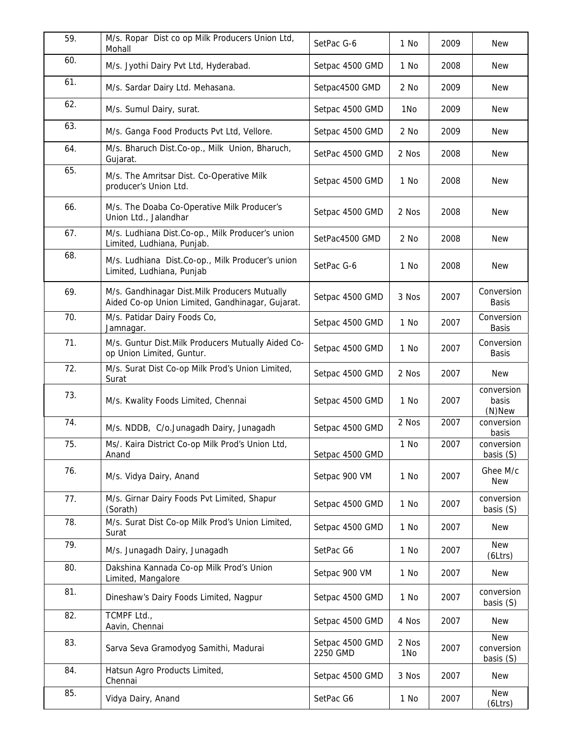| 59. | M/s. Ropar Dist co op Milk Producers Union Ltd,<br>Mohall                                         | SetPac G-6                  | 1 No            | 2009 | <b>New</b>                            |
|-----|---------------------------------------------------------------------------------------------------|-----------------------------|-----------------|------|---------------------------------------|
| 60. | M/s. Jyothi Dairy Pvt Ltd, Hyderabad.                                                             | Setpac 4500 GMD             | 1 No            | 2008 | <b>New</b>                            |
| 61. | M/s. Sardar Dairy Ltd. Mehasana.                                                                  | Setpac4500 GMD              | 2 No            | 2009 | <b>New</b>                            |
| 62. | M/s. Sumul Dairy, surat.                                                                          | Setpac 4500 GMD             | 1N <sub>o</sub> | 2009 | <b>New</b>                            |
| 63. | M/s. Ganga Food Products Pvt Ltd, Vellore.                                                        | Setpac 4500 GMD             | 2 No            | 2009 | <b>New</b>                            |
| 64. | M/s. Bharuch Dist.Co-op., Milk Union, Bharuch,<br>Gujarat.                                        | SetPac 4500 GMD             | 2 Nos           | 2008 | <b>New</b>                            |
| 65. | M/s. The Amritsar Dist. Co-Operative Milk<br>producer's Union Ltd.                                | Setpac 4500 GMD             | 1 No            | 2008 | <b>New</b>                            |
| 66. | M/s. The Doaba Co-Operative Milk Producer's<br>Union Ltd., Jalandhar                              | Setpac 4500 GMD             | 2 Nos           | 2008 | <b>New</b>                            |
| 67. | M/s. Ludhiana Dist.Co-op., Milk Producer's union<br>Limited, Ludhiana, Punjab.                    | SetPac4500 GMD              | 2 No            | 2008 | <b>New</b>                            |
| 68. | M/s. Ludhiana Dist.Co-op., Milk Producer's union<br>Limited, Ludhiana, Punjab                     | SetPac G-6                  | 1 No            | 2008 | <b>New</b>                            |
| 69. | M/s. Gandhinagar Dist.Milk Producers Mutually<br>Aided Co-op Union Limited, Gandhinagar, Gujarat. | Setpac 4500 GMD             | 3 Nos           | 2007 | Conversion<br><b>Basis</b>            |
| 70. | M/s. Patidar Dairy Foods Co,<br>Jamnagar.                                                         | Setpac 4500 GMD             | 1 No            | 2007 | Conversion<br><b>Basis</b>            |
| 71. | M/s. Guntur Dist. Milk Producers Mutually Aided Co-<br>op Union Limited, Guntur.                  | Setpac 4500 GMD             | 1 No            | 2007 | Conversion<br><b>Basis</b>            |
| 72. | M/s. Surat Dist Co-op Milk Prod's Union Limited,<br>Surat                                         | Setpac 4500 GMD             | 2 Nos           | 2007 | New                                   |
| 73. | M/s. Kwality Foods Limited, Chennai                                                               | Setpac 4500 GMD             | 1 No            | 2007 | conversion<br>basis<br>$(N)$ New      |
| 74. | M/s. NDDB, C/o.Junagadh Dairy, Junagadh                                                           | Setpac 4500 GMD             | 2 Nos           | 2007 | conversion<br>basis                   |
| 75. | Ms/. Kaira District Co-op Milk Prod's Union Ltd,<br>Anand                                         | Setpac 4500 GMD             | 1 No            | 2007 | conversion<br>basis (S)               |
| 76. | M/s. Vidya Dairy, Anand                                                                           | Setpac 900 VM               | 1 No            | 2007 | Ghee M/c<br>New                       |
| 77. | M/s. Girnar Dairy Foods Pvt Limited, Shapur<br>(Sorath)                                           | Setpac 4500 GMD             | 1 No            | 2007 | conversion<br>basis (S)               |
| 78. | M/s. Surat Dist Co-op Milk Prod's Union Limited,<br>Surat                                         | Setpac 4500 GMD             | 1 No            | 2007 | New                                   |
| 79. | M/s. Junagadh Dairy, Junagadh                                                                     | SetPac G6                   | 1 No            | 2007 | <b>New</b><br>(6Ltrs)                 |
| 80. | Dakshina Kannada Co-op Milk Prod's Union<br>Limited, Mangalore                                    | Setpac 900 VM               | 1 No            | 2007 | <b>New</b>                            |
| 81. | Dineshaw's Dairy Foods Limited, Nagpur                                                            | Setpac 4500 GMD             | 1 No            | 2007 | conversion<br>basis (S)               |
| 82. | TCMPF Ltd.,<br>Aavin, Chennai                                                                     | Setpac 4500 GMD             | 4 Nos           | 2007 | <b>New</b>                            |
| 83. | Sarva Seva Gramodyog Samithi, Madurai                                                             | Setpac 4500 GMD<br>2250 GMD | 2 Nos<br>1No    | 2007 | <b>New</b><br>conversion<br>basis (S) |
| 84. | Hatsun Agro Products Limited,<br>Chennai                                                          | Setpac 4500 GMD             | 3 Nos           | 2007 | <b>New</b>                            |
| 85. | Vidya Dairy, Anand                                                                                | SetPac G6                   | 1 No            | 2007 | <b>New</b><br>(6Ltrs)                 |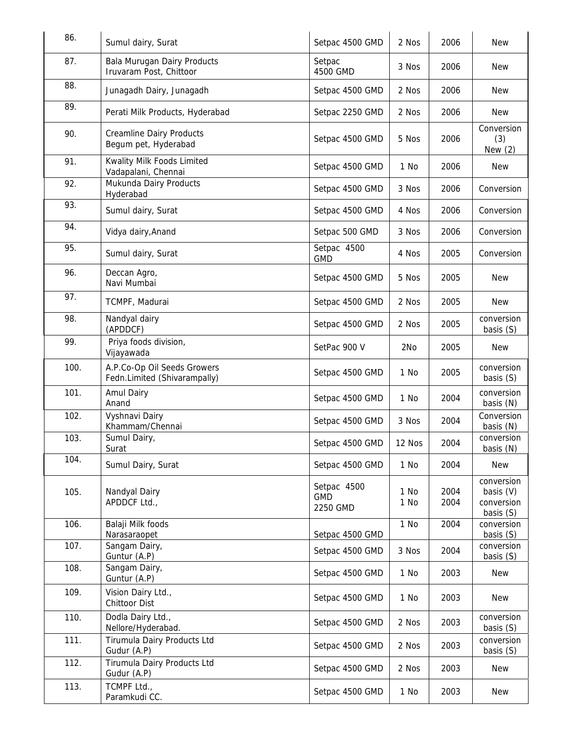| 86.  | Sumul dairy, Surat                                          | Setpac 4500 GMD                       | 2 Nos           | 2006         | <b>New</b>                                         |
|------|-------------------------------------------------------------|---------------------------------------|-----------------|--------------|----------------------------------------------------|
| 87.  | Bala Murugan Dairy Products<br>Iruvaram Post, Chittoor      | Setpac<br>4500 GMD                    | 3 Nos           | 2006         | New                                                |
| 88.  | Junagadh Dairy, Junagadh                                    | Setpac 4500 GMD                       | 2 Nos           | 2006         | <b>New</b>                                         |
| 89.  | Perati Milk Products, Hyderabad                             | Setpac 2250 GMD                       | 2 Nos           | 2006         | New                                                |
| 90.  | <b>Creamline Dairy Products</b><br>Begum pet, Hyderabad     | Setpac 4500 GMD                       | 5 Nos           | 2006         | Conversion<br>(3)<br>New $(2)$                     |
| 91.  | Kwality Milk Foods Limited<br>Vadapalani, Chennai           | Setpac 4500 GMD                       | 1 No            | 2006         | New                                                |
| 92.  | Mukunda Dairy Products<br>Hyderabad                         | Setpac 4500 GMD                       | 3 Nos           | 2006         | Conversion                                         |
| 93.  | Sumul dairy, Surat                                          | Setpac 4500 GMD                       | 4 Nos           | 2006         | Conversion                                         |
| 94.  | Vidya dairy, Anand                                          | Setpac 500 GMD                        | 3 Nos           | 2006         | Conversion                                         |
| 95.  | Sumul dairy, Surat                                          | Setpac 4500<br><b>GMD</b>             | 4 Nos           | 2005         | Conversion                                         |
| 96.  | Deccan Agro,<br>Navi Mumbai                                 | Setpac 4500 GMD                       | 5 Nos           | 2005         | New                                                |
| 97.  | TCMPF, Madurai                                              | Setpac 4500 GMD                       | 2 Nos           | 2005         | New                                                |
| 98.  | Nandyal dairy<br>(APDDCF)                                   | Setpac 4500 GMD                       | 2 Nos           | 2005         | conversion<br>basis (S)                            |
| 99.  | Priya foods division,<br>Vijayawada                         | SetPac 900 V                          | 2N <sub>o</sub> | 2005         | <b>New</b>                                         |
| 100. | A.P.Co-Op Oil Seeds Growers<br>Fedn.Limited (Shivarampally) | Setpac 4500 GMD                       | 1 No            | 2005         | conversion<br>basis (S)                            |
| 101. | Amul Dairy<br>Anand                                         | Setpac 4500 GMD                       | 1 No            | 2004         | conversion<br>basis (N)                            |
| 102. | Vyshnavi Dairy<br>Khammam/Chennai                           | Setpac 4500 GMD                       | 3 Nos           | 2004         | Conversion<br>basis (N)                            |
| 103. | Sumul Dairy,<br>Surat                                       | Setpac 4500 GMD                       | 12 Nos          | 2004         | conversion<br>basis (N)                            |
| 104. | Sumul Dairy, Surat                                          | Setpac 4500 GMD                       | 1 No            | 2004         | New                                                |
| 105. | Nandyal Dairy<br>APDDCF Ltd.,                               | Setpac 4500<br><b>GMD</b><br>2250 GMD | 1 No<br>1 No    | 2004<br>2004 | conversion<br>basis (V)<br>conversion<br>basis (S) |
| 106. | Balaji Milk foods<br>Narasaraopet                           | Setpac 4500 GMD                       | 1 No            | 2004         | conversion<br>basis (S)                            |
| 107. | Sangam Dairy,<br>Guntur (A.P)                               | Setpac 4500 GMD                       | 3 Nos           | 2004         | conversion<br>basis (S)                            |
| 108. | Sangam Dairy,<br>Guntur (A.P)                               | Setpac 4500 GMD                       | 1 No            | 2003         | New                                                |
| 109. | Vision Dairy Ltd.,<br>Chittoor Dist                         | Setpac 4500 GMD                       | 1 No            | 2003         | New                                                |
| 110. | Dodla Dairy Ltd.,<br>Nellore/Hyderabad.                     | Setpac 4500 GMD                       | 2 Nos           | 2003         | conversion<br>basis (S)                            |
| 111. | Tirumula Dairy Products Ltd<br>Gudur (A.P)                  | Setpac 4500 GMD                       | 2 Nos           | 2003         | conversion<br>basis (S)                            |
| 112. | Tirumula Dairy Products Ltd<br>Gudur (A.P)                  | Setpac 4500 GMD                       | 2 Nos           | 2003         | New                                                |
| 113. | TCMPF Ltd.,<br>Paramkudi CC.                                | Setpac 4500 GMD                       | 1 No            | 2003         | New                                                |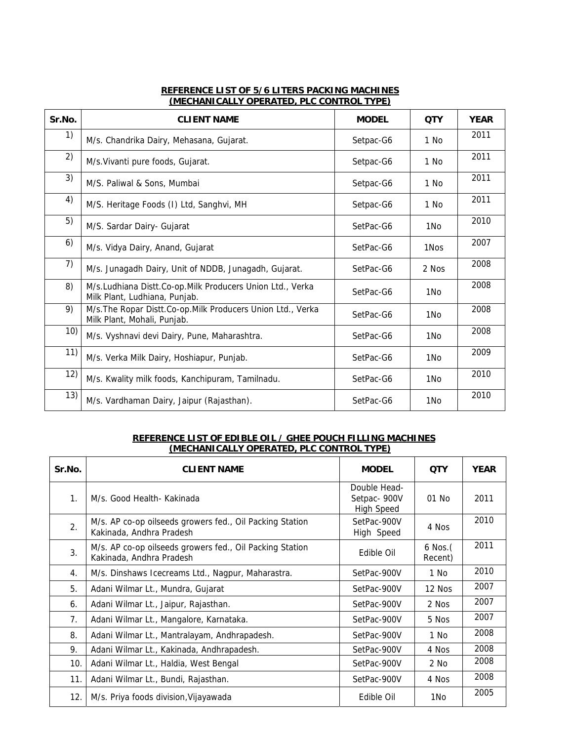## **REFERENCE LIST OF 5/6 LITERS PACKING MACHINES (MECHANICALLY OPERATED, PLC CONTROL TYPE)**

| Sr.No. | <b>CLIENT NAME</b>                                                                           | <b>MODEL</b> | <b>QTY</b>      | <b>YEAR</b> |
|--------|----------------------------------------------------------------------------------------------|--------------|-----------------|-------------|
| 1)     | M/s. Chandrika Dairy, Mehasana, Gujarat.                                                     | Setpac-G6    | 1 No            | 2011        |
| 2)     | M/s. Vivanti pure foods, Gujarat.                                                            | Setpac-G6    | 1 No            | 2011        |
| 3)     | M/S. Paliwal & Sons, Mumbai                                                                  | Setpac-G6    | 1 No            | 2011        |
| 4)     | M/S. Heritage Foods (I) Ltd, Sanghvi, MH                                                     | Setpac-G6    | 1 No            | 2011        |
| 5)     | M/S. Sardar Dairy- Gujarat                                                                   | SetPac-G6    | 1N <sub>o</sub> | 2010        |
| 6)     | M/s. Vidya Dairy, Anand, Gujarat                                                             | SetPac-G6    | 1Nos            | 2007        |
| 7)     | M/s. Junagadh Dairy, Unit of NDDB, Junagadh, Gujarat.                                        | SetPac-G6    | 2 Nos           | 2008        |
| 8)     | M/s.Ludhiana Distt.Co-op.Milk Producers Union Ltd., Verka<br>Milk Plant, Ludhiana, Punjab.   | SetPac-G6    | 1No             | 2008        |
| 9)     | M/s. The Ropar Distt. Co-op. Milk Producers Union Ltd., Verka<br>Milk Plant, Mohali, Punjab. | SetPac-G6    | 1N <sub>o</sub> | 2008        |
| 10)    | M/s. Vyshnavi devi Dairy, Pune, Maharashtra.                                                 | SetPac-G6    | 1N <sub>o</sub> | 2008        |
| 11)    | M/s. Verka Milk Dairy, Hoshiapur, Punjab.                                                    | SetPac-G6    | 1N <sub>o</sub> | 2009        |
| 12)    | M/s. Kwality milk foods, Kanchipuram, Tamilnadu.                                             | SetPac-G6    | 1N <sub>o</sub> | 2010        |
| 13)    | M/s. Vardhaman Dairy, Jaipur (Rajasthan).                                                    | SetPac-G6    | 1N <sub>o</sub> | 2010        |

## **REFERENCE LIST OF EDIBLE OIL / GHEE POUCH FILLING MACHINES (MECHANICALLY OPERATED, PLC CONTROL TYPE)**

| Sr.No.         | <b>CLIENT NAME</b>                                                                   | <b>MODEL</b>                                      | <b>QTY</b>              | <b>YEAR</b> |
|----------------|--------------------------------------------------------------------------------------|---------------------------------------------------|-------------------------|-------------|
| 1.             | M/s. Good Health- Kakinada                                                           | Double Head-<br>Setpac- 900V<br><b>High Speed</b> | 01 No                   | 2011        |
| 2.             | M/s. AP co-op oilseeds growers fed., Oil Packing Station<br>Kakinada, Andhra Pradesh | SetPac-900V<br>High Speed                         | 4 Nos                   | 2010        |
| 3.             | M/s. AP co-op oilseeds growers fed., Oil Packing Station<br>Kakinada, Andhra Pradesh | Edible Oil                                        | $6$ Nos. $($<br>Recent) | 2011        |
| 4.             | M/s. Dinshaws Icecreams Ltd., Nagpur, Maharastra.                                    | SetPac-900V                                       | 1 No                    | 2010        |
| 5.             | Adani Wilmar Lt., Mundra, Gujarat                                                    | SetPac-900V                                       | 12 Nos                  | 2007        |
| 6.             | Adani Wilmar Lt., Jaipur, Rajasthan.                                                 | SetPac-900V                                       | 2 Nos                   | 2007        |
| 7 <sub>1</sub> | Adani Wilmar Lt., Mangalore, Karnataka.                                              | SetPac-900V                                       | 5 Nos                   | 2007        |
| 8.             | Adani Wilmar Lt., Mantralayam, Andhrapadesh.                                         | SetPac-900V                                       | 1 No                    | 2008        |
| 9.             | Adani Wilmar Lt., Kakinada, Andhrapadesh.                                            | SetPac-900V                                       | 4 Nos                   | 2008        |
| 10.            | Adani Wilmar Lt., Haldia, West Bengal                                                | SetPac-900V                                       | 2 No                    | 2008        |
| 11.            | Adani Wilmar Lt., Bundi, Rajasthan.                                                  | SetPac-900V                                       | 4 Nos                   | 2008        |
| 12.            | M/s. Priya foods division, Vijayawada                                                | Edible Oil                                        | 1No                     | 2005        |